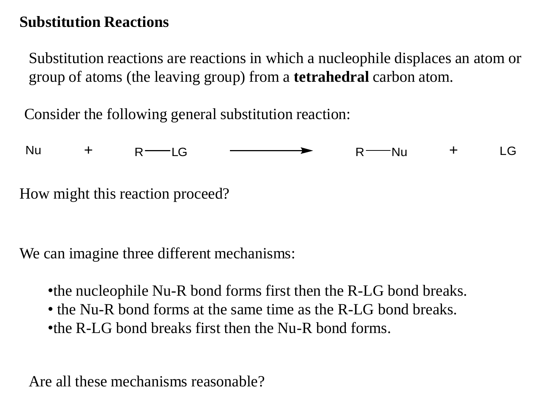#### **Substitution Reactions**

Substitution reactions are reactions in which a nucleophile displaces an atom or group of atoms (the leaving group) from a **tetrahedral** carbon atom.

Consider the following general substitution reaction:



We can imagine three different mechanisms:

•the nucleophile Nu-R bond forms first then the R-LG bond breaks.

- the Nu-R bond forms at the same time as the R-LG bond breaks.
- •the R-LG bond breaks first then the Nu-R bond forms.

Are all these mechanisms reasonable?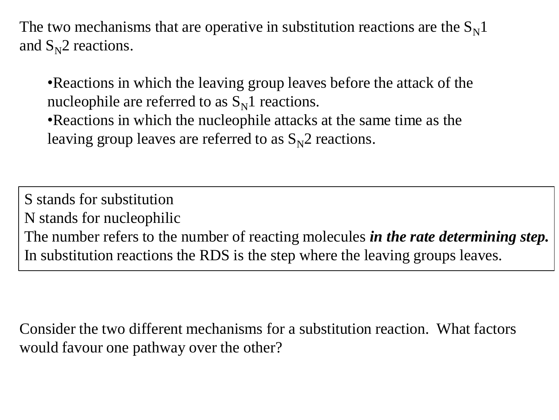The two mechanisms that are operative in substitution reactions are the  $S_N1$ and  $S_N^2$  reactions.

•Reactions in which the leaving group leaves before the attack of the nucleophile are referred to as  $S_N1$  reactions.

•Reactions in which the nucleophile attacks at the same time as the leaving group leaves are referred to as  $S_N^2$  reactions.

S stands for substitution N stands for nucleophilic The number refers to the number of reacting molecules *in the rate determining step.* In substitution reactions the RDS is the step where the leaving groups leaves.

Consider the two different mechanisms for a substitution reaction. What factors would favour one pathway over the other?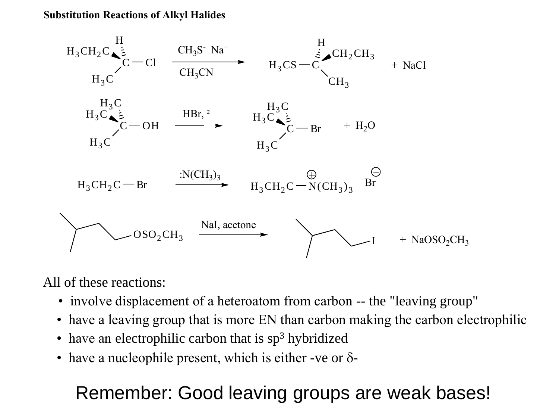**Substitution Reactions of Alkyl Halides**



All of these reactions:

- involve displacement of a heteroatom from carbon -- the "leaving group"
- have a leaving group that is more EN than carbon making the carbon electrophilic
- have an electrophilic carbon that is  $sp<sup>3</sup>$  hybridized
- have a nucleophile present, which is either -ve or  $\delta$ -

# Remember: Good leaving groups are weak bases!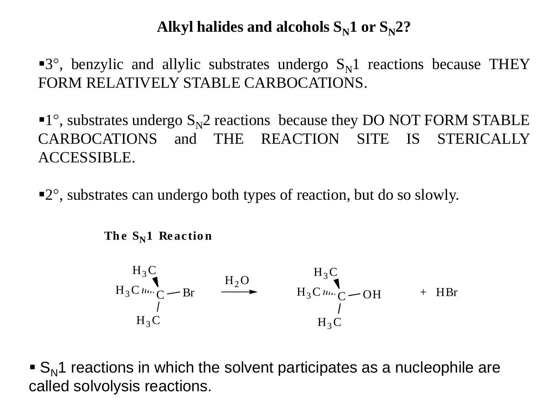#### Alkyl halides and alcohols  $S_N1$  or  $S_N2$ ?

**3°**, benzylic and allylic substrates undergo  $S_N1$  reactions because THEY FORM RELATIVELY STABLE CARBOCATIONS.

 $\blacksquare$ <sup>o</sup>, substrates undergo S<sub>N</sub>2 reactions because they DO NOT FORM STABLE CARBOCATIONS and THE REACTION SITE IS STERICALLY ACCESSIBLE.

2° , substrates can undergo both types of reaction, but do so slowly.

The  $S_N1$  **Reaction** 

 $H_3C$ C  $H_3C$  $H_3C$  line  $C$  — Br  $H_2O$  $H_3C$ C  $H_3C$  $H_3C \mu_{\text{m}}C$  - OH + HBr

 $\blacktriangleright$  S<sub>N</sub>1 reactions in which the solvent participates as a nucleophile are called solvolysis reactions.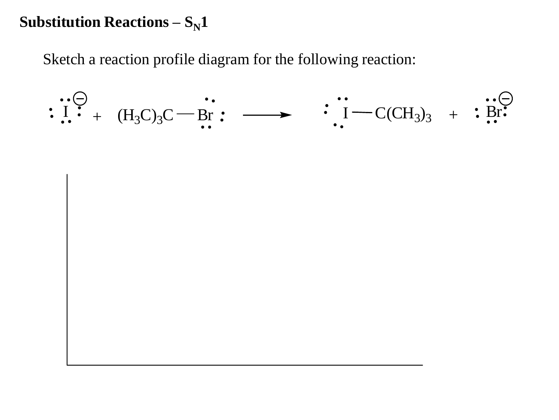#### **Substitution Reactions –**  $S_N1$

Sketch a reaction profile diagram for the following reaction:

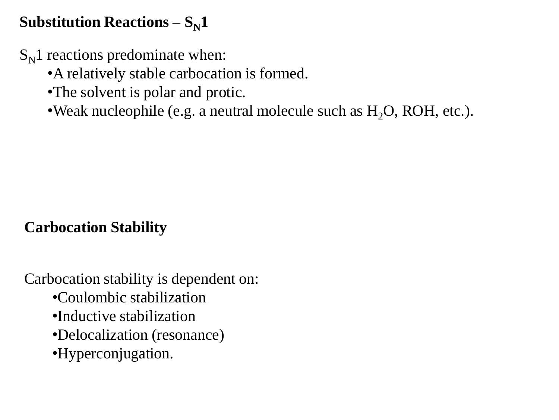## **Substitution Reactions –**  $S_N1$

 $S_N1$  reactions predominate when:

•A relatively stable carbocation is formed.

•The solvent is polar and protic.

•Weak nucleophile (e.g. a neutral molecule such as  $H_2O$ , ROH, etc.).

## **Carbocation Stability**

Carbocation stability is dependent on:

- •Coulombic stabilization
- •Inductive stabilization
- •Delocalization (resonance)
- •Hyperconjugation.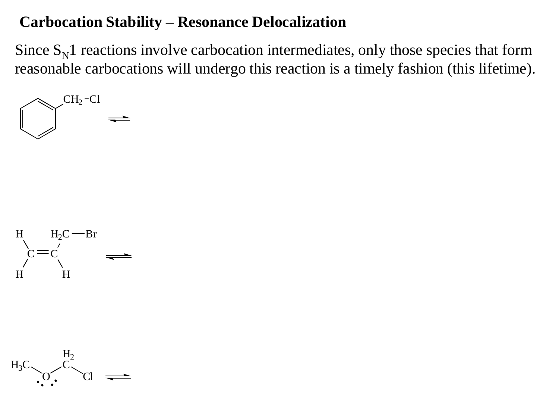#### **Carbocation Stability – Resonance Delocalization**

Since  $S_N$ 1 reactions involve carbocation intermediates, only those species that form reasonable carbocations will undergo this reaction is a timely fashion (this lifetime).





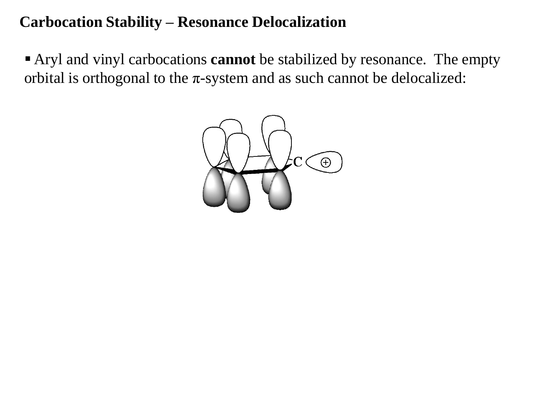#### **Carbocation Stability – Resonance Delocalization**

 Aryl and vinyl carbocations **cannot** be stabilized by resonance. The empty orbital is orthogonal to the  $\pi$ -system and as such cannot be delocalized:

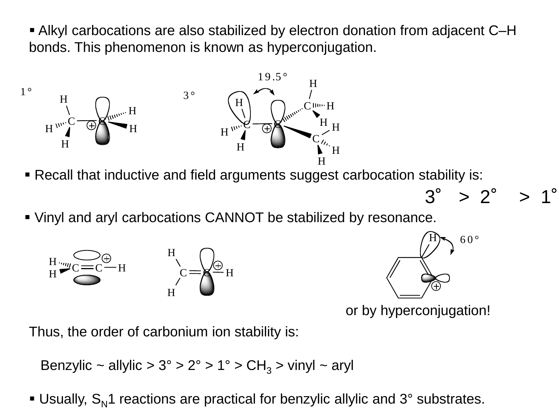bonds. This phenomenon is known as hyperconjugation. som e that is known a the in graduated that is known a s h y p e r co n ju ga tio n ju ga tio n ju ga tio n ju<br>The interval of the interval of the interval of the interval of the interval of the interval of the interval o Alkyl carbocations are also stabilized by electron donation from adjacent C–H



- Recall that inductive and field arguments suggest carbocation stability is:
- Vin y la na ary l carbocation o criterio il bol clabilize di by 1000 Vinyl and aryl carbocations CANNOT be stabilized by resonance.







 $3^{\circ} > 2^{\circ}$ 

or by hyperconjugation!

Thus, the order of carbonium ion stability is:

Benzylic ~ allylic >  $3^{\circ}$  >  $2^{\circ}$  >  $1^{\circ}$  > CH<sub>3</sub> > vinyl ~ aryl

Usually,  $S_N$ 1 reactions are practical for benzylic allylic and 3° substrates.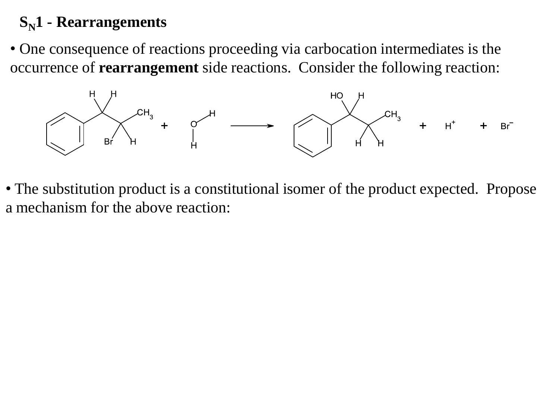## **SN1 - Rearrangements**

• One consequence of reactions proceeding via carbocation intermediates is the occurrence of **rearrangement** side reactions. Consider the following reaction:



• The substitution product is a constitutional isomer of the product expected. Propose a mechanism for the above reaction: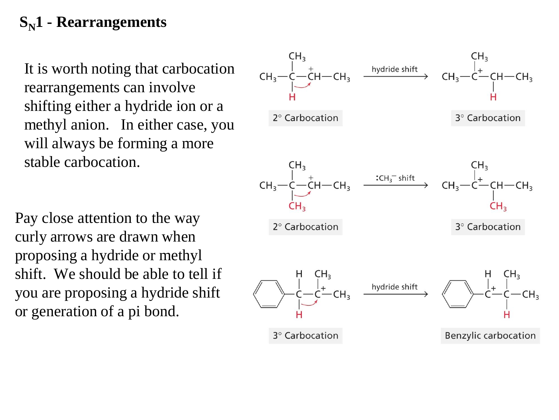## **SN1 - Rearrangements**

It is worth noting that carbocation rearrangements can involve shifting either a hydride ion or a methyl anion. In either case, you will always be forming a more stable carbocation.

Pay close attention to the way curly arrows are drawn when proposing a hydride or methyl shift. We should be able to tell if you are proposing a hydride shift or generation of a pi bond.

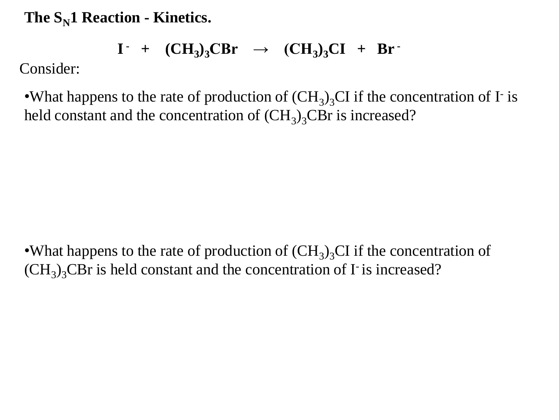**The SN1 Reaction - Kinetics.**

$$
I^+ + (CH_3)_3CBr \rightarrow (CH_3)_3CI + Br^+
$$

Consider:

•What happens to the rate of production of  $(CH_3)_3CI$  if the concentration of I<sup>-</sup> is held constant and the concentration of  $(CH_3)_3$ CBr is increased?

•What happens to the rate of production of  $(CH_3)_3CI$  if the concentration of  $(CH<sub>3</sub>)<sub>3</sub>$ CBr is held constant and the concentration of I is increased?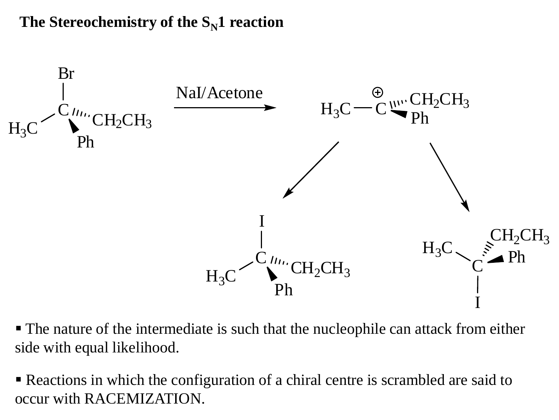#### The Stereochemistry of the  $S_N1$  reaction



 The nature of the intermediate is such that the nucleophile can attack from either side with equal likelihood.

 Reactions in which the configuration of a chiral centre is scrambled are said to occur with RACEMIZATION.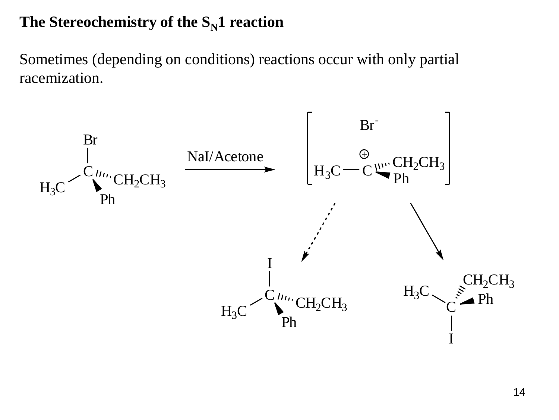### The Stereochemistry of the  $S_N1$  reaction

Sometimes (depending on conditions) reactions occur with only partial racemization.

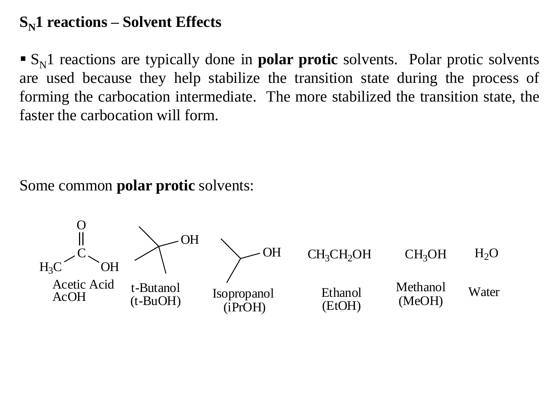#### **SN1 reactions – Solvent Effects**

 $\mathbf{S}_N$ 1 reactions are typically done in **polar protic** solvents. Polar protic solvents are used because they help stabilize the transition state during the process of forming the carbocation intermediate. The more stabilized the transition state, the faster the carbocation will form.

Some common **polar protic** solvents:

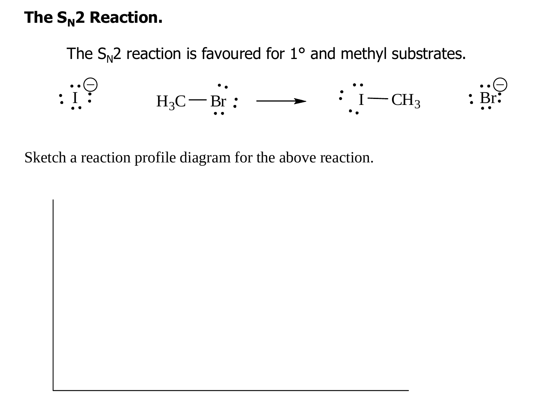# **The SN2 Reaction.**

The  $S_N$ 2 reaction is favoured for 1° and methyl substrates.



Sketch a reaction profile diagram for the above reaction.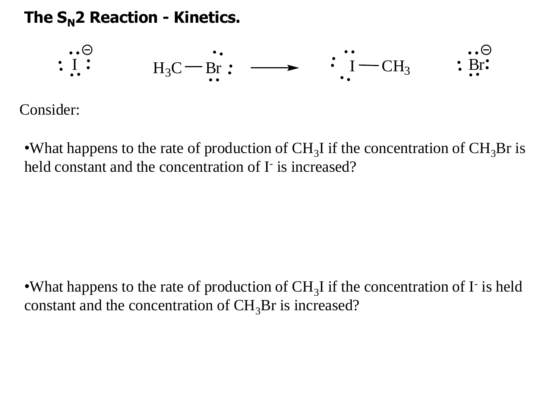## **The SN2 Reaction - Kinetics.**



Consider:

•What happens to the rate of production of  $CH_3I$  if the concentration of  $CH_3Br$  is held constant and the concentration of I is increased?

•What happens to the rate of production of  $CH_3I$  if the concentration of  $I<sup>-</sup>$  is held constant and the concentration of  $CH<sub>3</sub>Br$  is increased?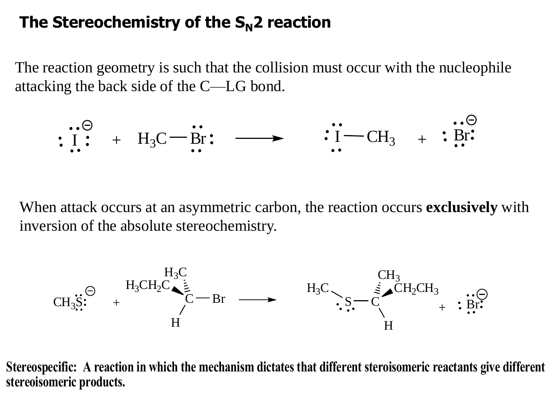## The Stereochemistry of the  $S_N$ <sup>2</sup> reaction

The reaction geometry is such that the collision must occur with the nucleophile attacking the back side of the C—LG bond.

$$
\begin{array}{cccc}\n\cdots \ominus \\
\vdots & \vdots & \vdots \\
\cdots & \vdots & \vdots\n\end{array}
$$

When attack occurs at an asymmetric carbon, the reaction occurs **exclusively** with inversion of the absolute stereochemistry.



**Stereospecific: A reaction in which the mechanism dictates that different steroisomeric reactants give different stereoisomeric products.**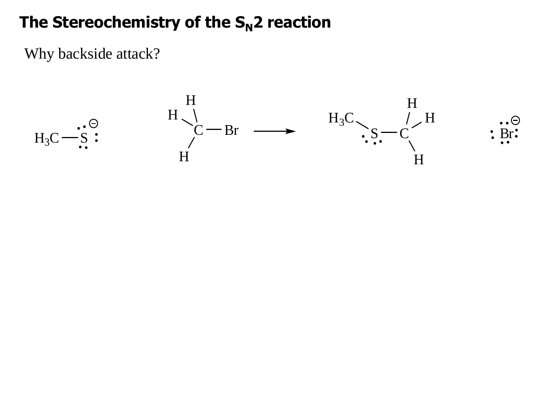## The Stereochemistry of the  $S_N$ 2 reaction

Why backside attack?

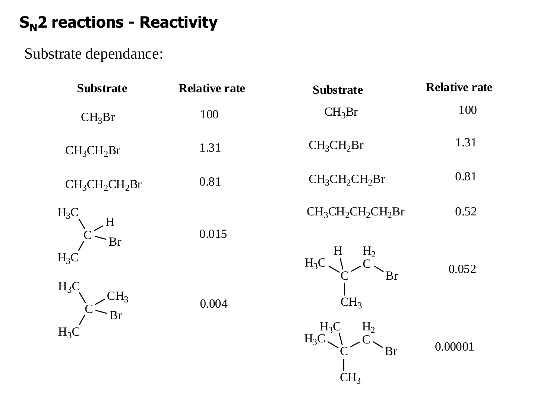# **SN2 reactions - Reactivity**

Substrate dependance:

| <b>Substrate</b>                   | <b>Relative rate</b> | <b>Substrate</b>                                                   | <b>Relative rate</b> |
|------------------------------------|----------------------|--------------------------------------------------------------------|----------------------|
| $CH_3Br$                           | 100                  | $CH_3Br$                                                           | 100                  |
| CH <sub>3</sub> CH <sub>2</sub> Br | 1.31                 | CH <sub>3</sub> CH <sub>2</sub> Br                                 | 1.31                 |
| $CH_3CH_2CH_2Br$                   | 0.81                 | $CH_3CH_2CH_2Br$                                                   | 0.81                 |
| $H_3C$                             |                      | $CH_3CH_2CH_2CH_2Br$                                               | 0.52                 |
| <b>Br</b><br>$H_3C$<br>$H_3C$      | 0.015                | H <sub>2</sub><br>H<br>$H_3C$<br><b>Br</b>                         | 0.052                |
| $H_3$<br>Br<br>$H_3C$              | 0.004                | CH <sub>3</sub><br>$H_3C$<br>H <sub>2</sub><br>$H_3C$<br><b>Br</b> | 0.00001              |
|                                    |                      | CH <sub>3</sub>                                                    |                      |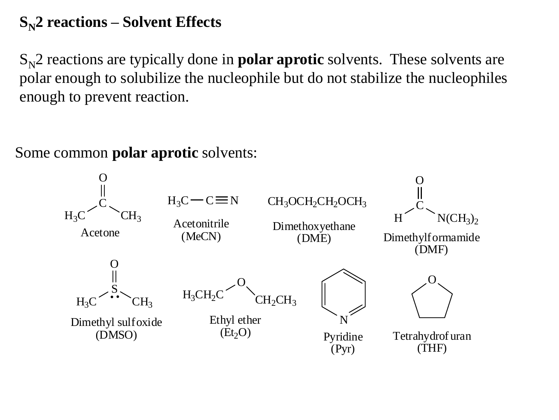## **SN2 reactions – Solvent Effects**

 $S_N^2$  reactions are typically done in **polar aprotic** solvents. These solvents are polar enough to solubilize the nucleophile but do not stabilize the nucleophiles enough to prevent reaction.

Some common **polar aprotic** solvents:

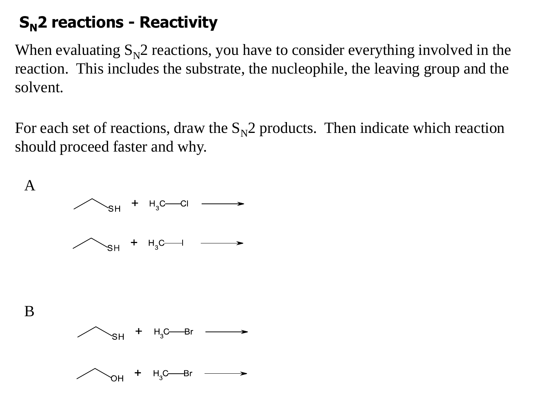# **SN2 reactions - Reactivity**

When evaluating  $S_N^2$  reactions, you have to consider everything involved in the reaction. This includes the substrate, the nucleophile, the leaving group and the solvent.

For each set of reactions, draw the  $S_N^2$  products. Then indicate which reaction should proceed faster and why.

![](_page_21_Figure_3.jpeg)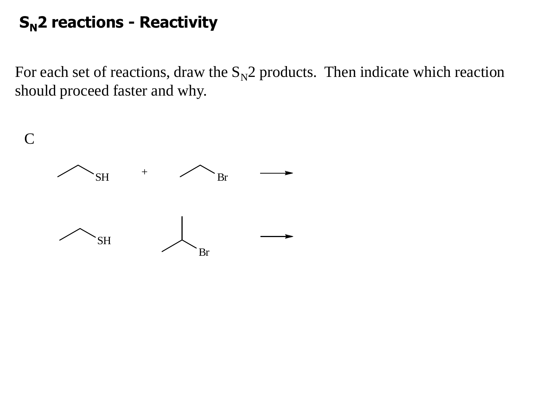# **SN2 reactions - Reactivity**

For each set of reactions, draw the  $S_N^2$  products. Then indicate which reaction should proceed faster and why.

![](_page_22_Figure_2.jpeg)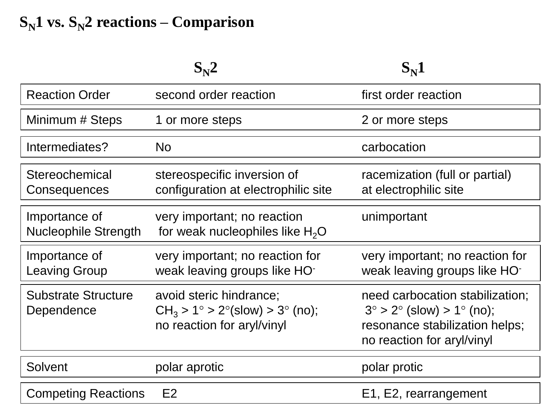# $S_N$ **1 vs.**  $S_N$ **2 reactions – Comparison**

|                                              | $S_{\rm N}$ <sup>2</sup>                                                                              | $S_{\rm N}1$                                                                                                                                 |
|----------------------------------------------|-------------------------------------------------------------------------------------------------------|----------------------------------------------------------------------------------------------------------------------------------------------|
| <b>Reaction Order</b>                        | second order reaction                                                                                 | first order reaction                                                                                                                         |
| Minimum # Steps                              | 1 or more steps                                                                                       | 2 or more steps                                                                                                                              |
| Intermediates?                               | <b>No</b>                                                                                             | carbocation                                                                                                                                  |
| Stereochemical<br>Consequences               | stereospecific inversion of<br>configuration at electrophilic site                                    | racemization (full or partial)<br>at electrophilic site                                                                                      |
| Importance of<br><b>Nucleophile Strength</b> | very important; no reaction<br>for weak nucleophiles like $H_2O$                                      | unimportant                                                                                                                                  |
| Importance of<br><b>Leaving Group</b>        | very important; no reaction for<br>weak leaving groups like HO-                                       | very important; no reaction for<br>weak leaving groups like HO-                                                                              |
| <b>Substrate Structure</b><br>Dependence     | avoid steric hindrance;<br>$CH_3 > 1^\circ > 2^\circ$ (slow) > 3° (no);<br>no reaction for aryl/vinyl | need carbocation stabilization;<br>$3^{\circ} > 2^{\circ}$ (slow) > 1° (no);<br>resonance stabilization helps;<br>no reaction for aryl/vinyl |
| <b>Solvent</b>                               | polar aprotic                                                                                         | polar protic                                                                                                                                 |
| <b>Competing Reactions</b>                   | E2                                                                                                    | E1, E2, rearrangement                                                                                                                        |